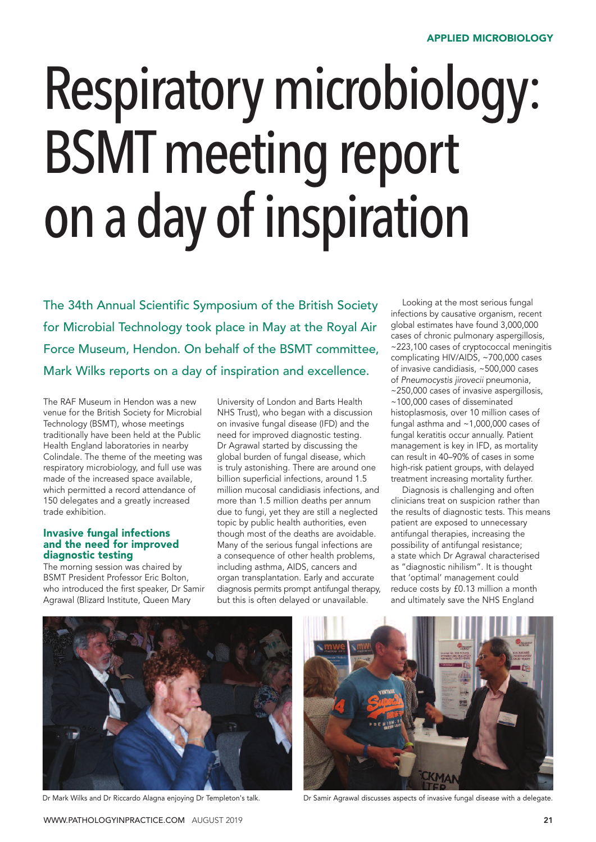# Respiratory microbiology: **BSMT** meeting report onaday of inspiration

The 34th Annual Scientific Symposium of the British Society for Microbial Technology took place in May at the Royal Air Force Museum, Hendon. On behalf of the BSMT committee, Mark Wilks reports on a day of inspiration and excellence.

The RAF Museum in Hendon was a new venue for the British Society for Microbial Technology (BSMT), whose meetings traditionally have been held at the Public Health England laboratories in nearby Colindale. The theme of the meeting was respiratory microbiology, and full use was made of the increased space available, which permitted a record attendance of 150 delegates and a greatly increased trade exhibition.

# Invasive fungal infections and the need for improved diagnostic testing

The morning session was chaired by BSMT President Professor Eric Bolton, who introduced the first speaker. Dr Samir Agrawal (Blizard Institute, Queen Mary

University of London and Barts Health NHS Trust), who began with a discussion on invasive fungal disease (IFD) and the need for improved diagnostic testing. Dr Agrawal started by discussing the global burden of fungal disease, which is truly astonishing. There are around one billion superficial infections, around 1.5 million mucosal candidiasis infections, and more than 1.5 million deaths per annum due to fungi, yet they are still a neglected topic by public health authorities, even though most of the deaths are avoidable. Many of the serious fungal infections are a consequence of other health problems, including asthma, AIDS, cancers and organ transplantation. Early and accurate diagnosis permits prompt antifungal therapy, but this is often delayed or unavailable.

Looking at the most serious fungal infections by causative organism, recent global estimates have found 3,000,000 cases of chronic pulmonary aspergillosis, ~223,100 cases of cryptococcal meningitis complicating HIV/AIDS, ~700,000 cases of invasive candidiasis, ~500,000 cases of *Pneumocystis jirovecii* pneumonia, ~250,000 cases of invasive aspergillosis, ~100,000 cases of disseminated histoplasmosis, over 10 million cases of fungal asthma and ~1,000,000 cases of fungal keratitis occur annually. Patient management is key in IFD, as mortality can result in 40–90% of cases in some high-risk patient groups, with delayed treatment increasing mortality further.

Diagnosis is challenging and often clinicians treat on suspicion rather than the results of diagnostic tests. This means patient are exposed to unnecessary antifungal therapies, increasing the possibility of antifungal resistance; a state which Dr Agrawal characterised as "diagnostic nihilism". It is thought that 'optimal' management could reduce costs by £0.13 million a month and ultimately save the NHS England



Dr Mark Wilks and Dr Riccardo Alagna enjoying Dr Templeton's talk. Dr Samir Agrawal discusses aspects of invasive fungal disease with a delegate.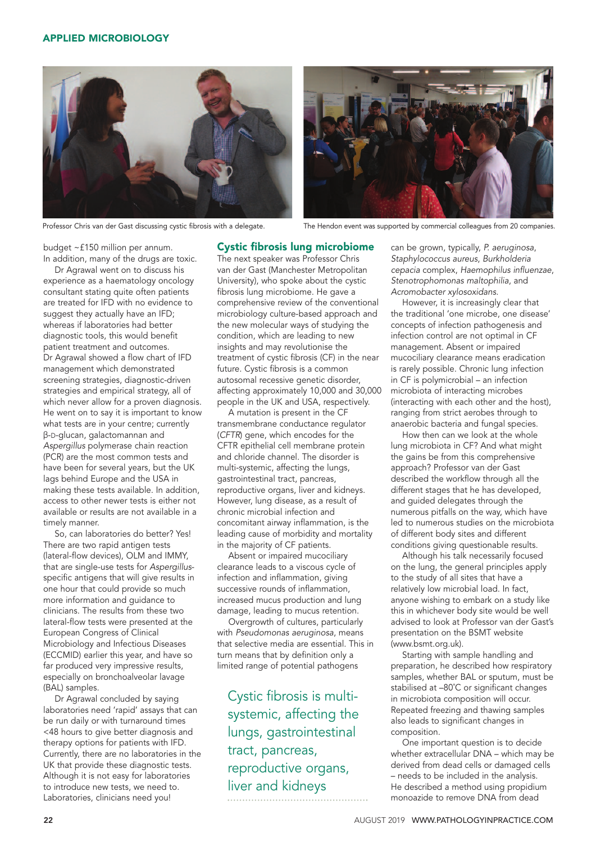

Professor Chris van der Gast discussing cystic fibrosis with a delegate. The Hendon event was supported by commercial colleagues from 20 companies.



budget ~£150 million per annum. In addition, many of the drugs are toxic.

Dr Agrawal went on to discuss his experience as a haematology oncology consultant stating quite often patients are treated for IFD with no evidence to suggest they actually have an IFD; whereas if laboratories had better diagnostic tools, this would benefit patient treatment and outcomes. Dr Agrawal showed a flow chart of IFD management which demonstrated screening strategies, diagnostic-driven strategies and empirical strategy, all of which never allow for a proven diagnosis. He went on to say it is important to know what tests are in your centre; currently β-D-glucan, galactomannan and *Aspergillus* polymerase chain reaction (PCR) are the most common tests and have been for several years, but the UK lags behind Europe and the USA in making these tests available. In addition, access to other newer tests is either not available or results are not available in a timely manner.

So, can laboratories do better? Yes! There are two rapid antigen tests (lateral-flow devices), OLM and IMMY, that are single-use tests for *Aspergillus*specific antigens that will give results in one hour that could provide so much more information and guidance to clinicians. The results from these two lateral-flow tests were presented at the European Congress of Clinical Microbiology and Infectious Diseases (ECCMID) earlier this year, and have so far produced very impressive results, especially on bronchoalveolar lavage (BAL) samples.

Dr Agrawal concluded by saying laboratories need 'rapid' assays that can be run daily or with turnaround times <48 hours to give better diagnosis and therapy options for patients with IFD. Currently, there are no laboratories in the UK that provide these diagnostic tests. Although it is not easy for laboratories to introduce new tests, we need to. Laboratories, clinicians need you!

# Cystic fibrosis lung microbiome

The next speaker was Professor Chris van der Gast (Manchester Metropolitan University), who spoke about the cystic fibrosis lung microbiome. He gave a comprehensive review of the conventional microbiology culture-based approach and the new molecular ways of studying the condition, which are leading to new insights and may revolutionise the treatment of cystic fibrosis (CF) in the near future. Cystic fibrosis is a common autosomal recessive genetic disorder, affecting approximately 10,000 and 30,000 people in the UK and USA, respectively.

A mutation is present in the CF transmembrane conductance regulator (*CFTR*) gene, which encodes for the CFTR epithelial cell membrane protein and chloride channel. The disorder is multi-systemic, affecting the lungs, gastrointestinal tract, pancreas, reproductive organs, liver and kidneys. However, lung disease, as a result of chronic microbial infection and concomitant airway inflammation, is the leading cause of morbidity and mortality in the majority of CF patients.

Absent or impaired mucociliary clearance leads to a viscous cycle of infection and inflammation, giving successive rounds of inflammation, increased mucus production and lung damage, leading to mucus retention.

Overgrowth of cultures, particularly with *Pseudomonas aeruginosa*, means that selective media are essential. This in turn means that by definition only a limited range of potential pathogens

Cystic fibrosis is multisystemic, affecting the lungs, gastrointestinal tract, pancreas, reproductive organs, liver and kidneys

can be grown, typically, *P. aeruginosa*, *Staphylococcus aureus*, *Burkholderia cepacia* complex, *Haemophilus influenzae*, *Stenotrophomonas maltophilia*, and *Acromobacter xylosoxidans*.

However, it is increasingly clear that the traditional 'one microbe, one disease' concepts of infection pathogenesis and infection control are not optimal in CF management. Absent or impaired mucociliary clearance means eradication is rarely possible. Chronic lung infection in CF is polymicrobial – an infection microbiota of interacting microbes (interacting with each other and the host), ranging from strict aerobes through to anaerobic bacteria and fungal species.

How then can we look at the whole lung microbiota in CF? And what might the gains be from this comprehensive approach? Professor van der Gast described the workflow through all the different stages that he has developed, and guided delegates through the numerous pitfalls on the way, which have led to numerous studies on the microbiota of different body sites and different conditions giving questionable results.

Although his talk necessarily focused on the lung, the general principles apply to the study of all sites that have a relatively low microbial load. In fact, anyone wishing to embark on a study like this in whichever body site would be well advised to look at Professor van der Gast's presentation on the BSMT website (www.bsmt.org.uk).

Starting with sample handling and preparation, he described how respiratory samples, whether BAL or sputum, must be stabilised at –80˚C or significant changes in microbiota composition will occur. Repeated freezing and thawing samples also leads to significant changes in composition.

One important question is to decide whether extracellular DNA – which may be derived from dead cells or damaged cells – needs to be included in the analysis. He described a method using propidium monoazide to remove DNA from dead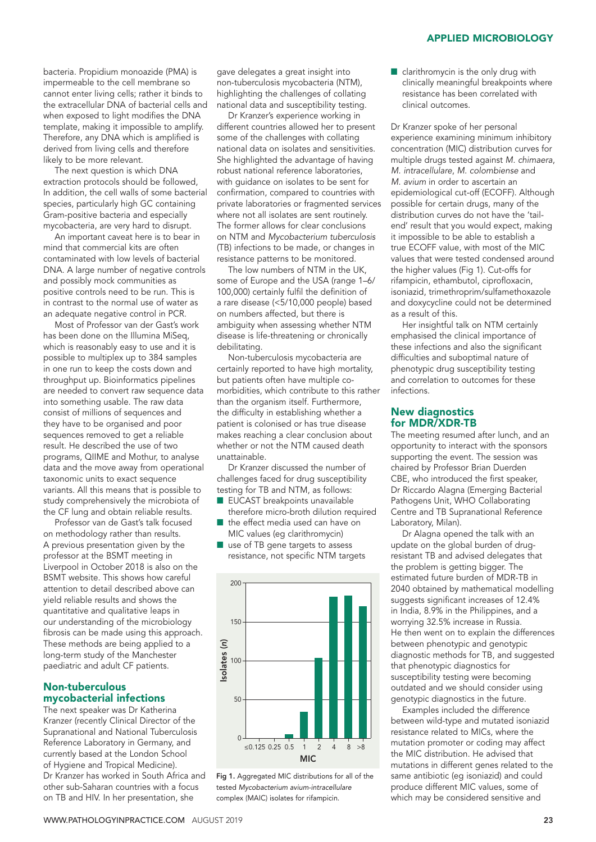bacteria. Propidium monoazide (PMA) is impermeable to the cell membrane so cannot enter living cells; rather it binds to the extracellular DNA of bacterial cells and when exposed to light modifies the DNA template, making it impossible to amplify. Therefore, any DNA which is amplified is derived from living cells and therefore likely to be more relevant.

The next question is which DNA extraction protocols should be followed, In addition, the cell walls of some bacterial species, particularly high GC containing Gram-positive bacteria and especially mycobacteria, are very hard to disrupt.

An important caveat here is to bear in mind that commercial kits are often contaminated with low levels of bacterial DNA. A large number of negative controls and possibly mock communities as positive controls need to be run. This is in contrast to the normal use of water as an adequate negative control in PCR.

Most of Professor van der Gast's work has been done on the Illumina MiSeq, which is reasonably easy to use and it is possible to multiplex up to 384 samples in one run to keep the costs down and throughput up. Bioinformatics pipelines are needed to convert raw sequence data into something usable. The raw data consist of millions of sequences and they have to be organised and poor sequences removed to get a reliable result. He described the use of two programs, QIIME and Mothur, to analyse data and the move away from operational taxonomic units to exact sequence variants. All this means that is possible to study comprehensively the microbiota of the CF lung and obtain reliable results.

Professor van de Gast's talk focused on methodology rather than results. A previous presentation given by the professor at the BSMT meeting in Liverpool in October 2018 is also on the BSMT website. This shows how careful attention to detail described above can yield reliable results and shows the quantitative and qualitative leaps in our understanding of the microbiology fibrosis can be made using this approach. These methods are being applied to a long-term study of the Manchester paediatric and adult CF patients.

## Non-tuberculous mycobacterial infections

The next speaker was Dr Katherina Kranzer (recently Clinical Director of the Supranational and National Tuberculosis Reference Laboratory in Germany, and currently based at the London School of Hygiene and Tropical Medicine). Dr Kranzer has worked in South Africa and other sub-Saharan countries with a focus on TB and HIV. In her presentation, she

gave delegates a great insight into non-tuberculosis mycobacteria (NTM), highlighting the challenges of collating national data and susceptibility testing.

Dr Kranzer's experience working in different countries allowed her to present some of the challenges with collating national data on isolates and sensitivities. She highlighted the advantage of having robust national reference laboratories, with guidance on isolates to be sent for confirmation, compared to countries with private laboratories or fragmented services where not all isolates are sent routinely. The former allows for clear conclusions on NTM and *Mycobacterium tuberculosis* (TB) infections to be made, or changes in resistance patterns to be monitored.

The low numbers of NTM in the UK, some of Europe and the USA (range 1–6/ 100,000) certainly fulfil the definition of a rare disease (<5/10,000 people) based on numbers affected, but there is ambiguity when assessing whether NTM disease is life-threatening or chronically debilitating.

Non-tuberculosis mycobacteria are certainly reported to have high mortality, but patients often have multiple comorbidities, which contribute to this rather than the organism itself. Furthermore, the difficulty in establishing whether a patient is colonised or has true disease makes reaching a clear conclusion about whether or not the NTM caused death unattainable.

Dr Kranzer discussed the number of challenges faced for drug susceptibility testing for TB and NTM, as follows:

- EUCAST breakpoints unavailable
- therefore micro-broth dilution required the effect media used can have on
- MIC values (eg clarithromycin) use of TB gene targets to assess
- resistance, not specific NTM targets



Fig 1. Aggregated MIC distributions for all of the tested *Mycobacterium avium-intracellulare* complex (MAIC) isolates for rifampicin.

 $\blacksquare$  clarithromycin is the only drug with clinically meaningful breakpoints where resistance has been correlated with clinical outcomes.

Dr Kranzer spoke of her personal experience examining minimum inhibitory concentration (MIC) distribution curves for multiple drugs tested against *M. chimaera*, *M. intracellulare*, *M. colombiense* and *M. avium* in order to ascertain an epidemiological cut-off (ECOFF). Although possible for certain drugs, many of the distribution curves do not have the 'tailend' result that you would expect, making it impossible to be able to establish a true ECOFF value, with most of the MIC values that were tested condensed around the higher values (Fig 1). Cut-offs for rifampicin, ethambutol, ciprofloxacin, isoniazid, trimethroprim/sulfamethoxazole and doxycycline could not be determined as a result of this.

Her insightful talk on NTM certainly emphasised the clinical importance of these infections and also the significant difficulties and suboptimal nature of phenotypic drug susceptibility testing and correlation to outcomes for these infections.

# New diagnostics for MDR/XDR-TB

The meeting resumed after lunch, and an opportunity to interact with the sponsors supporting the event. The session was chaired by Professor Brian Duerden CBE, who introduced the first speaker, Dr Riccardo Alagna (Emerging Bacterial Pathogens Unit, WHO Collaborating Centre and TB Supranational Reference Laboratory, Milan).

Dr Alagna opened the talk with an update on the global burden of drugresistant TB and advised delegates that the problem is getting bigger. The estimated future burden of MDR-TB in 2040 obtained by mathematical modelling suggests significant increases of 12.4% in India, 8.9% in the Philippines, and a worrying 32.5% increase in Russia. He then went on to explain the differences between phenotypic and genotypic diagnostic methods for TB, and suggested that phenotypic diagnostics for susceptibility testing were becoming outdated and we should consider using genotypic diagnostics in the future.

Examples included the difference between wild-type and mutated isoniazid resistance related to MICs, where the mutation promoter or coding may affect the MIC distribution. He advised that mutations in different genes related to the same antibiotic (eg isoniazid) and could produce different MIC values, some of which may be considered sensitive and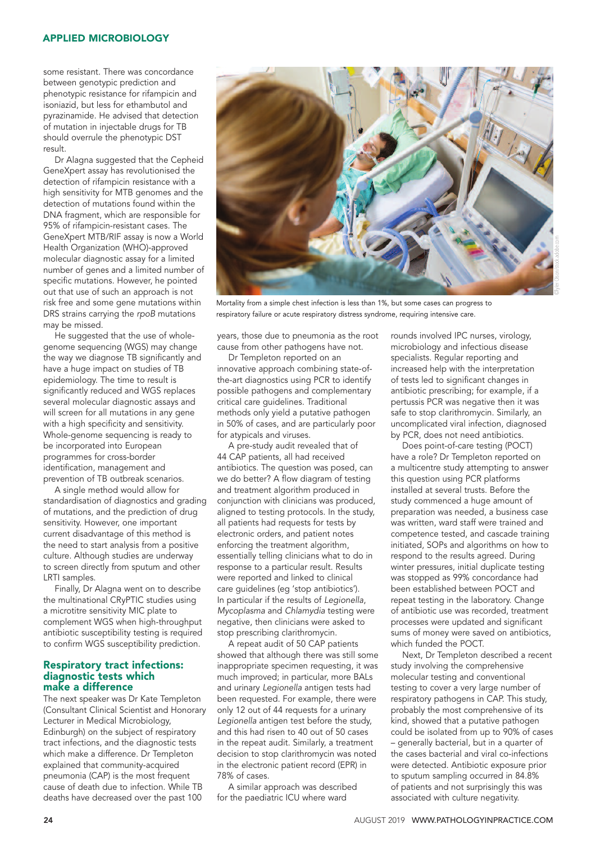some resistant. There was concordance between genotypic prediction and phenotypic resistance for rifampicin and isoniazid, but less for ethambutol and pyrazinamide. He advised that detection of mutation in injectable drugs for TB should overrule the phenotypic DST result.

Dr Alagna suggested that the Cepheid GeneXpert assay has revolutionised the detection of rifampicin resistance with a high sensitivity for MTB genomes and the detection of mutations found within the DNA fragment, which are responsible for 95% of rifampicin-resistant cases. The GeneXpert MTB/RIF assay is now a World Health Organization (WHO)-approved molecular diagnostic assay for a limited number of genes and a limited number of specific mutations. However, he pointed out that use of such an approach is not risk free and some gene mutations within DRS strains carrying the *rpoB* mutations may be missed.

He suggested that the use of wholegenome sequencing (WGS) may change the way we diagnose TB significantly and have a huge impact on studies of TB epidemiology. The time to result is significantly reduced and WGS replaces several molecular diagnostic assays and will screen for all mutations in any gene with a high specificity and sensitivity. Whole-genome sequencing is ready to be incorporated into European programmes for cross-border identification, management and prevention of TB outbreak scenarios.

A single method would allow for standardisation of diagnostics and grading of mutations, and the prediction of drug sensitivity. However, one important current disadvantage of this method is the need to start analysis from a positive culture. Although studies are underway to screen directly from sputum and other LRTI samples.

Finally, Dr Alagna went on to describe the multinational CRyPTIC studies using a microtitre sensitivity MIC plate to complement WGS when high-throughput antibiotic susceptibility testing is required to confirm WGS susceptibility prediction.

#### Respiratory tract infections: diagnostic tests which make a difference

The next speaker was Dr Kate Templeton (Consultant Clinical Scientist and Honorary Lecturer in Medical Microbiology, Edinburgh) on the subject of respiratory tract infections, and the diagnostic tests which make a difference. Dr Templeton explained that community-acquired pneumonia (CAP) is the most frequent cause of death due to infection. While TB deaths have decreased over the past 100



Mortality from a simple chest infection is less than 1%, but some cases can progress to respiratory failure or acute respiratory distress syndrome, requiring intensive care.

years, those due to pneumonia as the root cause from other pathogens have not.

Dr Templeton reported on an innovative approach combining state-ofthe-art diagnostics using PCR to identify possible pathogens and complementary critical care guidelines. Traditional methods only yield a putative pathogen in 50% of cases, and are particularly poor for atypicals and viruses.

A pre-study audit revealed that of 44 CAP patients, all had received antibiotics. The question was posed, can we do better? A flow diagram of testing and treatment algorithm produced in conjunction with clinicians was produced, aligned to testing protocols. In the study, all patients had requests for tests by electronic orders, and patient notes enforcing the treatment algorithm, essentially telling clinicians what to do in response to a particular result. Results were reported and linked to clinical care guidelines (eg 'stop antibiotics'). In particular if the results of *Legionella*, *Mycoplasma* and *Chlamydia* testing were negative, then clinicians were asked to stop prescribing clarithromycin.

A repeat audit of 50 CAP patients showed that although there was still some inappropriate specimen requesting, it was much improved; in particular, more BALs and urinary *Legionella* antigen tests had been requested. For example, there were only 12 out of 44 requests for a urinary *Legionella* antigen test before the study, and this had risen to 40 out of 50 cases in the repeat audit. Similarly, a treatment decision to stop clarithromycin was noted in the electronic patient record (EPR) in 78% of cases.

A similar approach was described for the paediatric ICU where ward

rounds involved IPC nurses, virology, microbiology and infectious disease specialists. Regular reporting and increased help with the interpretation of tests led to significant changes in antibiotic prescribing; for example, if a pertussis PCR was negative then it was safe to stop clarithromycin. Similarly, an uncomplicated viral infection, diagnosed by PCR, does not need antibiotics.

Does point-of-care testing (POCT) have a role? Dr Templeton reported on a multicentre study attempting to answer this question using PCR platforms installed at several trusts. Before the study commenced a huge amount of preparation was needed, a business case was written, ward staff were trained and competence tested, and cascade training initiated, SOPs and algorithms on how to respond to the results agreed. During winter pressures, initial duplicate testing was stopped as 99% concordance had been established between POCT and repeat testing in the laboratory. Change of antibiotic use was recorded, treatment processes were updated and significant sums of money were saved on antibiotics, which funded the POCT.

Next, Dr Templeton described a recent study involving the comprehensive molecular testing and conventional testing to cover a very large number of respiratory pathogens in CAP. This study, probably the most comprehensive of its kind, showed that a putative pathogen could be isolated from up to 90% of cases – generally bacterial, but in a quarter of the cases bacterial and viral co-infections were detected. Antibiotic exposure prior to sputum sampling occurred in 84.8% of patients and not surprisingly this was associated with culture negativity.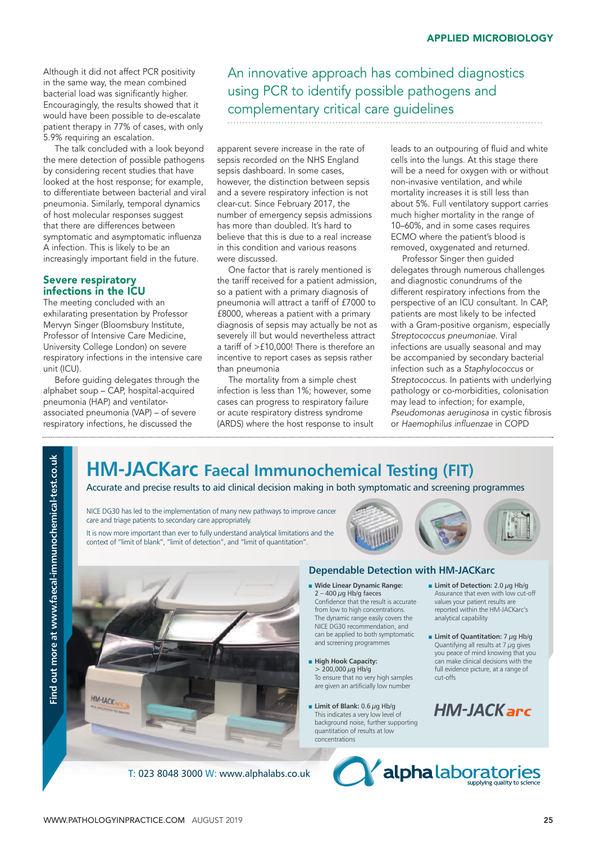Although it did not affect PCR positivity in the same way, the mean combined bacterial load was significantly higher. Encouragingly, the results showed that it would have been possible to de-escalate patient therapy in 77% of cases, with only 5.9% requiring an escalation.

The talk concluded with a look beyond the mere detection of possible pathogens by considering recent studies that have looked at the host response; for example, to differentiate between bacterial and viral pneumonia. Similarly, temporal dynamics of host molecular responses suggest that there are differences between symptomatic and asymptomatic influenza A infection. This is likely to be an increasingly important field in the future.

#### Severe respiratory infections in the ICU

The meeting concluded with an exhilarating presentation by Professor Mervyn Singer (Bloomsbury Institute, Professor of Intensive Care Medicine, University College London) on severe respiratory infections in the intensive care unit (ICU).

Before guiding delegates through the alphabet soup – CAP, hospital-acquired pneumonia (HAP) and ventilatorassociated pneumonia (VAP) – of severe respiratory infections, he discussed the

An innovative approach has combined diagnostics using PCR to identify possible pathogens and complementary critical care guidelines

apparent severe increase in the rate of sepsis recorded on the NHS England sepsis dashboard. In some cases, however, the distinction between sepsis and a severe respiratory infection is not clear-cut. Since February 2017, the number of emergency sepsis admissions has more than doubled. It's hard to believe that this is due to a real increase in this condition and various reasons were discussed.

One factor that is rarely mentioned is the tariff received for a patient admission, so a patient with a primary diagnosis of pneumonia will attract a tariff of £7000 to £8000, whereas a patient with a primary diagnosis of sepsis may actually be not as severely ill but would nevertheless attract a tariff of >£10,000! There is therefore an incentive to report cases as sepsis rather than pneumonia

The mortality from a simple chest infection is less than 1%; however, some cases can progress to respiratory failure or acute respiratory distress syndrome (ARDS) where the host response to insult

leads to an outpouring of fluid and white cells into the lungs. At this stage there will be a need for oxygen with or without non-invasive ventilation, and while mortality increases it is still less than about 5%. Full ventilatory support carries much higher mortality in the range of 10–60%, and in some cases requires ECMO where the patient's blood is removed, oxygenated and returned.

Professor Singer then guided delegates through numerous challenges and diagnostic conundrums of the different respiratory infections from the perspective of an ICU consultant. In CAP, patients are most likely to be infected with a Gram-positive organism, especially *Streptococcus pneumoniae*. Viral infections are usually seasonal and may be accompanied by secondary bacterial infection such as a *Staphylococcus* or *Streptococcus*. In patients with underlying pathology or co-morbidities, colonisation may lead to infection; for example, *Pseudomonas aeruginosa* in cystic fibrosis or *Haemophilus influenzae* in COPD

**HM-JACKarc Faecal Immunochemical Testing (FIT)**

Accurate and precise results to aid clinical decision making in both symptomatic and screening programmes

NICE DG30 has led to the implementation of many new pathways to improve cancer care and triage patients to secondary care appropriately. It is now more important than ever to fully understand analytical limitations and the context of "limit of blank", "limit of detection", and "limit of quantitation".



- **Nide Linear Dynamic Range:**  $2 - 400 \mu$ g Hb/g faeces Confidence that the result is accurate from low to high concentrations. The dynamic range easily covers the NICE DG30 recommendation, and can be applied to both symptomatic and screening programmes
- **High Hook Capacity:**  $> 200,000 \ \mu g \ Hb/g$ To ensure that no very high samples are given an artificially low number
- **Limit of Blank:**  $0.6 \mu$ g Hb/g This indicates a very low level of background noise, further supporting quantitation of results at low concentrations
- **Limit of Detection:**  $2.0 \mu$ g Hb/g Assurance that even with low cut-off values your patient results are reported within the HM-JACKarc's analytical capability
- **Limit of Quantitation:**  $7 \mu$ g Hb/g Quantifying all results at  $7 \mu$ g gives you peace of mind knowing that you can make clinical decisions with the full evidence picture, at a range of cut-offs







HM-JACK